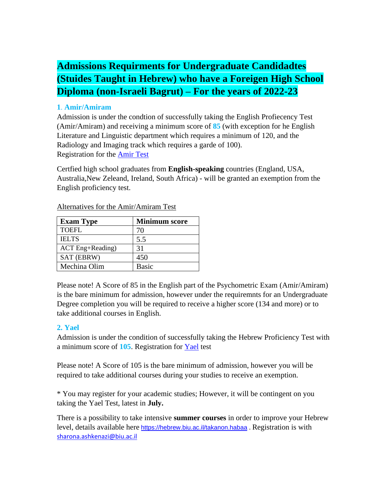# **Admissions Requirments for Undergraduate Candidadtes (Stuides Taught in Hebrew) who have a Foreigen High School Diploma (non-Israeli Bagrut) – For the years of 2022-23**

#### **1**. **Amir/Amiram**

Admission is under the condtion of successfully taking the English Profiecency Test (Amir/Amiram) and receiving a minimum score of **85** (with exception for he English Literature and Linguistic department which requires a minimum of 120, and the Radiology and Imaging track which requires a garde of 100). Registration for the [Amir Test](https://www.nite.org.il/other-tests/?lang=en)

Certfied high school graduates from **English-speaking** countries (England, USA, Australia,New Zeleand, Ireland, South Africa) - will be granted an exemption from the English proficiency test.

| <b>Exam Type</b> | <b>Minimum score</b> |
|------------------|----------------------|
| <b>TOEFL</b>     | 70                   |
| <b>IELTS</b>     | 5.5                  |
| ACT Eng+Reading) | 31                   |
| SAT (EBRW)       | 450                  |
| Mechina Olim     | <b>Basic</b>         |

Alternatives for the Amir/Amiram Test

Please note! A Score of 85 in the English part of the Psychometric Exam (Amir/Amiram) is the bare minimum for admission, however under the requiremnts for an Undergraduate Degree completion you will be required to receive a higher score (134 and more) or to take additional courses in English.

### **2. Yael**

Admission is under the condition of successfully taking the Hebrew Proficiency Test with a minimum score of **105**. Registration for [Yael](https://www.nite.org.il/other-tests/yael/) test

Please note! A Score of 105 is the bare minimum of admission, however you will be required to take additional courses during your studies to receive an exemption.

\* You may register for your academic studies; However, it will be contingent on you taking the Yael Test, latest in **July.**

There is a possibility to take intensive **summer courses** in order to improve your Hebrew level, details available here [https://hebrew.biu.ac.il/takanon.habaa](https://eur02.safelinks.protection.outlook.com/?url=https%3A%2F%2Fhebrew.biu.ac.il%2Ftakanon.habaa&data=04%7C01%7Cintl.reg%40biu.ac.il%7C68a39e8148d7431ee3b708d9e4b74e32%7C61234e145b874b67ac198feaa8ba8f12%7C1%7C0%7C637792298207795954%7CUnknown%7CTWFpbGZsb3d8eyJWIjoiMC4wLjAwMDAiLCJQIjoiV2luMzIiLCJBTiI6Ik1haWwiLCJXVCI6Mn0%3D%7C3000&sdata=aeNaZfw2dIODOA5esavxIeUC5LUodA97UQ0s2%2BfKE2Q%3D&reserved=0). Registration is with [sharona.ashkenazi@biu.ac.il](mailto:sharona.ashkenazi@biu.ac.il)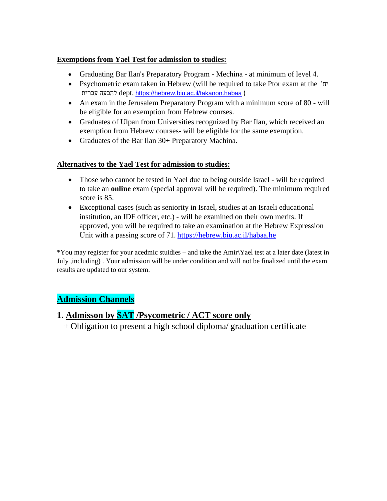#### **Exemptions from Yael Test for admission to studies:**

- Graduating Bar Ilan's Preparatory Program Mechina at minimum of level 4.
- Psychometric exam taken in Hebrew (will be required to take Ptor exam at the 'יח עברית להבעה dept. [https://hebrew.biu.ac.il/takanon.habaa](https://eur02.safelinks.protection.outlook.com/?url=https%3A%2F%2Fhebrew.biu.ac.il%2Ftakanon.habaa&data=04%7C01%7Cintl.reg%40biu.ac.il%7C68a39e8148d7431ee3b708d9e4b74e32%7C61234e145b874b67ac198feaa8ba8f12%7C1%7C0%7C637792298207795954%7CUnknown%7CTWFpbGZsb3d8eyJWIjoiMC4wLjAwMDAiLCJQIjoiV2luMzIiLCJBTiI6Ik1haWwiLCJXVCI6Mn0%3D%7C3000&sdata=aeNaZfw2dIODOA5esavxIeUC5LUodA97UQ0s2%2BfKE2Q%3D&reserved=0) )
- An exam in the Jerusalem Preparatory Program with a minimum score of 80 will be eligible for an exemption from Hebrew courses.
- Graduates of Ulpan from Universities recognized by Bar Ilan, which received an exemption from Hebrew courses- will be eligible for the same exemption.
- Graduates of the Bar Ilan 30+ Preparatory Machina.

#### **Alternatives to the Yael Test for admission to studies:**

- Those who cannot be tested in Yael due to being outside Israel will be required to take an **online** exam (special approval will be required). The minimum required score is 85.
- Exceptional cases (such as seniority in Israel, studies at an Israeli educational institution, an IDF officer, etc.) - will be examined on their own merits. If approved, you will be required to take an examination at the Hebrew Expression Unit with a passing score of 71. <https://hebrew.biu.ac.il/habaa.he>

\*You may register for your acedmic stuidies – and take the Amir\Yael test at a later date (latest in July ,including) . Your admission will be under condition and will not be finalized until the exam results are updated to our system.

### **Admission Channels**

### **1. Admisson by SAT /Psycometric / ACT score only**

+ Obligation to present a high school diploma/ graduation certificate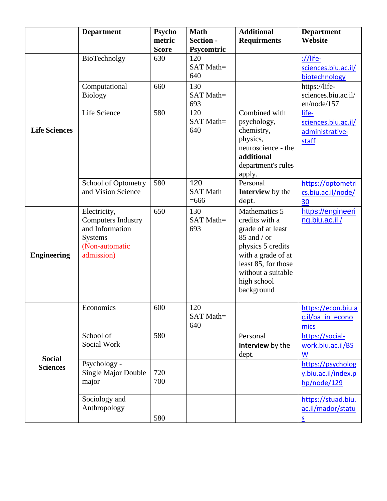|                                  | <b>Department</b>          | Psycho       | <b>Math</b>      | <b>Additional</b>       | <b>Department</b>   |
|----------------------------------|----------------------------|--------------|------------------|-------------------------|---------------------|
|                                  |                            | metric       | <b>Section -</b> | <b>Requirments</b>      | Website             |
|                                  |                            | <b>Score</b> | Psycomtric       |                         |                     |
|                                  | BioTechnolgy               | 630          | 120              |                         | ://life-            |
|                                  |                            |              | SAT Math=        |                         | sciences.biu.ac.il/ |
|                                  |                            |              | 640              |                         | biotechnology       |
|                                  | Computational              | 660          | 130              |                         | https://life-       |
|                                  | <b>Biology</b>             |              | SAT Math=        |                         | sciences.biu.ac.il/ |
|                                  |                            |              | 693              |                         | en/node/157         |
|                                  | Life Science               | 580          | 120              | Combined with           | life-               |
|                                  |                            |              | SAT Math=        | psychology,             | sciences.biu.ac.il/ |
| <b>Life Sciences</b>             |                            |              | 640              | chemistry,              | administrative-     |
|                                  |                            |              |                  | physics,                | staff               |
|                                  |                            |              |                  | neuroscience - the      |                     |
|                                  |                            |              |                  | additional              |                     |
|                                  |                            |              |                  | department's rules      |                     |
|                                  |                            |              |                  | apply.                  |                     |
|                                  | School of Optometry        | 580          | 120              | Personal                | https://optometri   |
|                                  | and Vision Science         |              | <b>SAT Math</b>  | <b>Interview</b> by the | cs.biu.ac.il/node/  |
|                                  |                            |              | $= 666$          | dept.                   | 30                  |
|                                  | Electricity,               | 650          | 130              | Mathematics 5           | https://engineeri   |
|                                  | <b>Computers Industry</b>  |              | SAT Math=        | credits with a          | ng.biu.ac.il/       |
|                                  | and Information            |              | 693              | grade of at least       |                     |
| <b>Engineering</b>               | <b>Systems</b>             |              |                  | $85$ and / or           |                     |
|                                  | (Non-automatic             |              |                  | physics 5 credits       |                     |
|                                  | admission)                 |              |                  | with a grade of at      |                     |
|                                  |                            |              |                  | least 85, for those     |                     |
|                                  |                            |              |                  | without a suitable      |                     |
|                                  |                            |              |                  | high school             |                     |
|                                  |                            |              |                  | background              |                     |
|                                  |                            |              |                  |                         |                     |
|                                  | Economics                  | 600          | 120              |                         | https://econ.biu.a  |
|                                  |                            |              | SAT Math=        |                         | c.il/ba in econo    |
|                                  |                            |              | 640              |                         | mics                |
|                                  | School of                  | 580          |                  | Personal                | https://social-     |
|                                  | Social Work                |              |                  | Interview by the        | work.biu.ac.il/BS   |
|                                  |                            |              |                  | dept.                   | W                   |
| <b>Social</b><br><b>Sciences</b> |                            |              |                  |                         |                     |
|                                  | Psychology -               |              |                  |                         |                     |
|                                  | <b>Single Major Double</b> | 720          |                  |                         | https://psycholog   |
|                                  | major                      | 700          |                  |                         | y.biu.ac.il/index.p |
|                                  |                            |              |                  |                         | hp/node/129         |
|                                  | Sociology and              |              |                  |                         | https://stuad.biu.  |
|                                  | Anthropology               |              |                  |                         | ac.il/mador/statu   |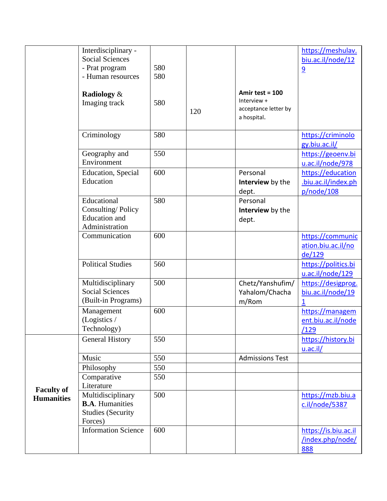|                                        | Interdisciplinary -<br><b>Social Sciences</b><br>- Prat program<br>- Human resources | 580<br>580 |     |                                                                         | https://meshulav.<br>biu.ac.il/node/12<br>9               |
|----------------------------------------|--------------------------------------------------------------------------------------|------------|-----|-------------------------------------------------------------------------|-----------------------------------------------------------|
|                                        | Radiology &<br>Imaging track                                                         | 580        | 120 | Amir test = $100$<br>Interview +<br>acceptance letter by<br>a hospital. |                                                           |
|                                        | Criminology                                                                          | 580        |     |                                                                         | https://criminolo<br>gy.biu.ac.il/                        |
|                                        | Geography and<br>Environment                                                         | 550        |     |                                                                         | https://geoenv.bi<br>u.ac.il/node/978                     |
|                                        | <b>Education</b> , Special<br>Education                                              | 600        |     | Personal<br>Interview by the<br>dept.                                   | https://education<br>.biu.ac.il/index.ph<br>p/node/108    |
|                                        | Educational<br>Consulting/Policy<br><b>Education</b> and<br>Administration           | 580        |     | Personal<br>Interview by the<br>dept.                                   |                                                           |
|                                        | Communication                                                                        | 600        |     |                                                                         | https://communic<br>ation.biu.ac.il/no<br>de/129          |
|                                        | <b>Political Studies</b>                                                             | 560        |     |                                                                         | https://politics.bi<br>u.ac.il/node/129                   |
|                                        | Multidisciplinary<br><b>Social Sciences</b><br>(Built-in Programs)                   | 500        |     | Chetz/Yanshufim/<br>Yahalom/Chacha<br>m/Rom                             | https://desigprog.<br>biu.ac.il/node/19<br>$\overline{1}$ |
|                                        | Management<br>(Logistics /<br>Technology)                                            | 600        |     |                                                                         | https://managem<br>ent.biu.ac.il/node<br><u>/129</u>      |
|                                        | <b>General History</b>                                                               | 550        |     |                                                                         | https://history.bi<br>$u.ac.$ il/                         |
|                                        | Music                                                                                | 550        |     | <b>Admissions Test</b>                                                  |                                                           |
|                                        | Philosophy                                                                           | 550        |     |                                                                         |                                                           |
| <b>Faculty of</b><br><b>Humanities</b> | Comparative<br>Literature                                                            | 550        |     |                                                                         |                                                           |
|                                        | Multidisciplinary<br><b>B.A.</b> Humanities<br><b>Studies (Security</b><br>Forces)   | 500        |     |                                                                         | https://mzb.biu.a<br>c.il/node/5387                       |
|                                        | <b>Information Science</b>                                                           | 600        |     |                                                                         | https://is.biu.ac.il<br>/index.php/node/<br>888           |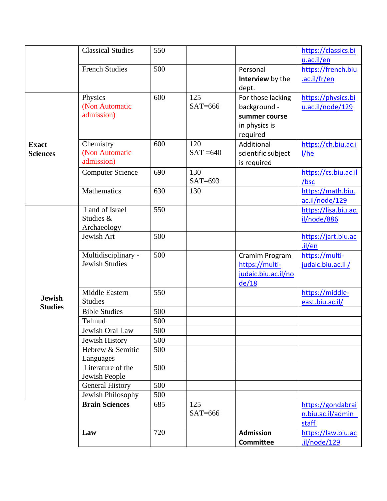|                                 | <b>Classical Studies</b>                     | 550 |                    |                                                                              | https://classics.bi<br>u.ac.il/en               |
|---------------------------------|----------------------------------------------|-----|--------------------|------------------------------------------------------------------------------|-------------------------------------------------|
|                                 | <b>French Studies</b>                        | 500 |                    | Personal<br>Interview by the                                                 | https://french.biu<br>.ac.il/fr/en              |
|                                 | Physics<br>(Non Automatic<br>admission)      | 600 | 125<br>$SAT=666$   | dept.<br>For those lacking<br>background -<br>summer course<br>in physics is | https://physics.bi<br>u.ac.il/node/129          |
| <b>Exact</b><br><b>Sciences</b> | Chemistry<br>(Non Automatic<br>admission)    | 600 | 120<br>$SAT = 640$ | required<br>Additional<br>scientific subject<br>is required                  | https://ch.biu.ac.i<br>1/he                     |
|                                 | <b>Computer Science</b>                      | 690 | 130<br>$SAT=693$   |                                                                              | https://cs.biu.ac.il<br>/bsc                    |
|                                 | Mathematics                                  | 630 | 130                |                                                                              | https://math.biu.<br>ac.il/node/129             |
|                                 | Land of Israel<br>Studies &<br>Archaeology   | 550 |                    |                                                                              | https://lisa.biu.ac.<br>il/node/886             |
|                                 | Jewish Art                                   | 500 |                    |                                                                              | https://jart.biu.ac<br>$.$ il/en                |
|                                 | Multidisciplinary -<br><b>Jewish Studies</b> | 500 |                    | Cramim Program<br>https://multi-<br>judaic.biu.ac.il/no<br>de/18             | https://multi-<br>judaic.biu.ac.il /            |
| <b>Jewish</b><br><b>Studies</b> | Middle Eastern<br><b>Studies</b>             | 550 |                    |                                                                              | https://middle-<br>east.biu.ac.il/              |
|                                 | <b>Bible Studies</b>                         | 500 |                    |                                                                              |                                                 |
|                                 | Talmud                                       | 500 |                    |                                                                              |                                                 |
|                                 | Jewish Oral Law                              | 500 |                    |                                                                              |                                                 |
|                                 | Jewish History                               | 500 |                    |                                                                              |                                                 |
|                                 | Hebrew & Semitic<br>Languages                | 500 |                    |                                                                              |                                                 |
|                                 | Literature of the<br>Jewish People           | 500 |                    |                                                                              |                                                 |
|                                 | <b>General History</b>                       | 500 |                    |                                                                              |                                                 |
|                                 | Jewish Philosophy                            | 500 |                    |                                                                              |                                                 |
|                                 | <b>Brain Sciences</b>                        | 685 | 125<br>$SAT=666$   |                                                                              | https://gondabrai<br>n.biu.ac.il/admin<br>staff |
|                                 | Law                                          | 720 |                    | <b>Admission</b><br><b>Committee</b>                                         | https://law.biu.ac<br>.il/node/129              |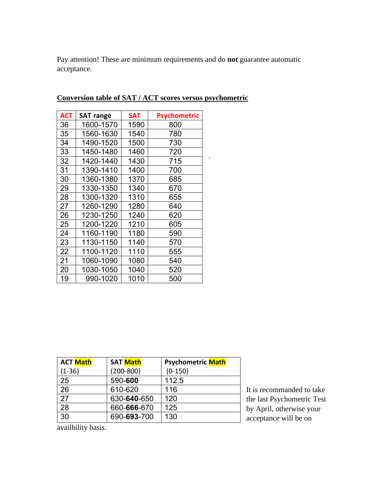Pay attention! These are minimum requirements and do **not** guarantee automatic acceptance.

.

| <b>ACT</b> | <b>SAT range</b> | <b>SAT</b> | Psychometric |
|------------|------------------|------------|--------------|
| 36         | 1600-1570        | 1590       | 800          |
| 35         | 1560-1630        | 1540       | 780          |
| 34         | 1490-1520        | 1500       | 730          |
| 33         | 1450-1480        | 1460       | 720          |
| 32         | 1420-1440        | 1430       | 715          |
| 31         | 1390-1410        | 1400       | 700          |
| 30         | 1360-1380        | 1370       | 685          |
| 29         | 1330-1350        | 1340       | 670          |
| 28         | 1300-1320        | 1310       | 655          |
| 27         | 1260-1290        | 1280       | 640          |
| 26         | 1230-1250        | 1240       | 620          |
| 25         | 1200-1220        | 1210       | 605          |
| 24         | 1160-1190        | 1180       | 590          |
| 23         | 1130-1150        | 1140       | 570          |
| 22         | 1100-1120        | 1110       | 555          |
| 21         | 1060-1090        | 1080       | 540          |
| 20         | 1030-1050        | 1040       | 520          |
| 19         | 990-1020         | 1010       | 500          |

**Conversion table of SAT / ACT scores versus psychometric**

| <b>ACT Math</b> | <b>SAT Math</b> | <b>Psychometric Math</b> |
|-----------------|-----------------|--------------------------|
| $(1-36)$        | $(200 - 800)$   | $(0-150)$                |
| 25              | 590-600         | 112.5                    |
| 26              | 610-620         | 116                      |
| 27              | 630-640-650     | 120                      |
| 28              | 660-666-670     | 125                      |
| 30              | 690-693-700     | 130                      |

It is recommanded to take the last Psychometric Test by April, otherwise your acceptance will be on

availbility basis.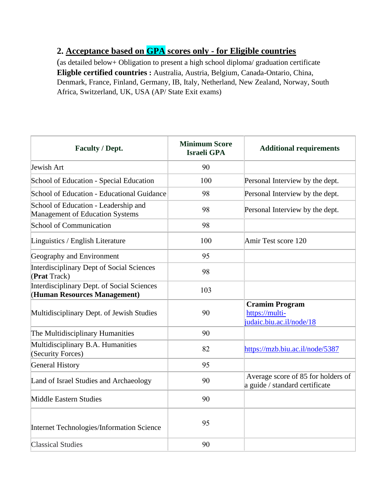## **2. Acceptance based on GPA scores only - for Eligible countries**

(as detailed below+ Obligation to present a high school diploma/ graduation certificate **Eligble certified countries :** Australia, Austria, Belgium, Canada-Ontario, China, Denmark, France, Finland, Germany, IB, Italy, Netherland, New Zealand, Norway, South Africa, Switzerland, UK, USA (AP/ State Exit exams)

| <b>Faculty / Dept.</b>                                                         | <b>Minimum Score</b><br><b>Israeli GPA</b> | <b>Additional requirements</b>                                       |
|--------------------------------------------------------------------------------|--------------------------------------------|----------------------------------------------------------------------|
| Jewish Art                                                                     | 90                                         |                                                                      |
| School of Education - Special Education                                        | 100                                        | Personal Interview by the dept.                                      |
| School of Education - Educational Guidance                                     | 98                                         | Personal Interview by the dept.                                      |
| School of Education - Leadership and<br><b>Management of Education Systems</b> | 98                                         | Personal Interview by the dept.                                      |
| <b>School of Communication</b>                                                 | 98                                         |                                                                      |
| Linguistics / English Literature                                               | 100                                        | Amir Test score 120                                                  |
| Geography and Environment                                                      | 95                                         |                                                                      |
| <b>Interdisciplinary Dept of Social Sciences</b><br>(Prat Track)               | 98                                         |                                                                      |
| Interdisciplinary Dept. of Social Sciences<br>(Human Resources Management)     | 103                                        |                                                                      |
| Multidisciplinary Dept. of Jewish Studies                                      | 90                                         | <b>Cramim Program</b><br>https://multi-<br>judaic.biu.ac.il/node/18  |
| The Multidisciplinary Humanities                                               | 90                                         |                                                                      |
| Multidisciplinary B.A. Humanities<br>(Security Forces)                         | 82                                         | https://mzb.biu.ac.il/node/5387                                      |
| <b>General History</b>                                                         | 95                                         |                                                                      |
| Land of Israel Studies and Archaeology                                         | 90                                         | Average score of 85 for holders of<br>a guide / standard certificate |
| Middle Eastern Studies                                                         | 90                                         |                                                                      |
| <b>Internet Technologies/Information Science</b>                               | 95                                         |                                                                      |
| <b>Classical Studies</b>                                                       | 90                                         |                                                                      |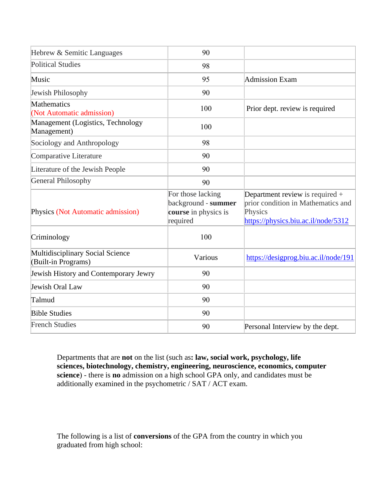| Hebrew & Semitic Languages                              | 90                                                                           |                                                                                                                           |
|---------------------------------------------------------|------------------------------------------------------------------------------|---------------------------------------------------------------------------------------------------------------------------|
| <b>Political Studies</b>                                | 98                                                                           |                                                                                                                           |
| Music                                                   | 95                                                                           | <b>Admission Exam</b>                                                                                                     |
| Jewish Philosophy                                       | 90                                                                           |                                                                                                                           |
| Mathematics<br>(Not Automatic admission)                | 100                                                                          | Prior dept. review is required                                                                                            |
| Management (Logistics, Technology<br>Management)        | 100                                                                          |                                                                                                                           |
| Sociology and Anthropology                              | 98                                                                           |                                                                                                                           |
| Comparative Literature                                  | 90                                                                           |                                                                                                                           |
| Literature of the Jewish People                         | 90                                                                           |                                                                                                                           |
| <b>General Philosophy</b>                               | 90                                                                           |                                                                                                                           |
| Physics (Not Automatic admission)                       | For those lacking<br>background - summer<br>course in physics is<br>required | Department review is required $+$<br>prior condition in Mathematics and<br>Physics<br>https://physics.biu.ac.il/node/5312 |
| Criminology                                             | 100                                                                          |                                                                                                                           |
| Multidisciplinary Social Science<br>(Built-in Programs) | Various                                                                      | https://desigprog.biu.ac.il/node/191                                                                                      |
| Jewish History and Contemporary Jewry                   | 90                                                                           |                                                                                                                           |
| Jewish Oral Law                                         | 90                                                                           |                                                                                                                           |
| Talmud                                                  | 90                                                                           |                                                                                                                           |
| <b>Bible Studies</b>                                    | 90                                                                           |                                                                                                                           |
| <b>French Studies</b>                                   | 90                                                                           | Personal Interview by the dept.                                                                                           |

Departments that are **not** on the list (such as**: law, social work, psychology, life sciences, biotechnology, chemistry, engineering, neuroscience, economics, computer**  science) - there is **no** admission on a high school GPA only, and candidates must be additionally examined in the psychometric / SAT / ACT exam.

The following is a list of **conversions** of the GPA from the country in which you graduated from high school: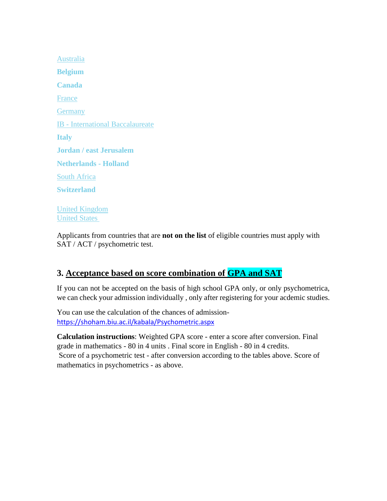[Australia](https://eur02.safelinks.protection.outlook.com/?url=https%3A%2F%2Fbiuinternational.com%2Faustralia%2F&data=04%7C01%7Celdad.shetrit%40biu.ac.il%7Cadf211b5a3ca4fd7c86508d89c302cf3%7C61234e145b874b67ac198feaa8ba8f12%7C1%7C0%7C637431078011855331%7CUnknown%7CTWFpbGZsb3d8eyJWIjoiMC4wLjAwMDAiLCJQIjoiV2luMzIiLCJBTiI6Ik1haWwiLCJXVCI6Mn0%3D%7C1000&sdata=MM7dTwLgOoXEv2HTc49K7lEU31TeIJ5c8bVQfrn1eJM%3D&reserved=0) **[Belgium](https://biuinternational.com/belgium-2/) [Canada](https://biuinternational.com/canada-2/)** [France](https://eur02.safelinks.protection.outlook.com/?url=https%3A%2F%2Fbiuinternational.com%2Ffrance%2F&data=04%7C01%7Celdad.shetrit%40biu.ac.il%7Cadf211b5a3ca4fd7c86508d89c302cf3%7C61234e145b874b67ac198feaa8ba8f12%7C1%7C0%7C637431078011865322%7CUnknown%7CTWFpbGZsb3d8eyJWIjoiMC4wLjAwMDAiLCJQIjoiV2luMzIiLCJBTiI6Ik1haWwiLCJXVCI6Mn0%3D%7C1000&sdata=l%2FwkR6AdWsMrvMlj8gBL5bmjD2ZWPBG67bN35g5hRT8%3D&reserved=0) **[Germany](https://eur02.safelinks.protection.outlook.com/?url=https%3A%2F%2Fbiuinternational.com%2Fgermany%2F&data=04%7C01%7Celdad.shetrit%40biu.ac.il%7Cadf211b5a3ca4fd7c86508d89c302cf3%7C61234e145b874b67ac198feaa8ba8f12%7C1%7C0%7C637431078011865322%7CUnknown%7CTWFpbGZsb3d8eyJWIjoiMC4wLjAwMDAiLCJQIjoiV2luMzIiLCJBTiI6Ik1haWwiLCJXVCI6Mn0%3D%7C1000&sdata=qywUEO280PssjmRsvEKTakFW6TBFfYM%2F0QVRAsrz5lY%3D&reserved=0)** IB - [International Baccalaureate](https://eur02.safelinks.protection.outlook.com/?url=https%3A%2F%2Fbiuinternational.com%2Finternational-baccalaureate-ib%2F&data=04%7C01%7Celdad.shetrit%40biu.ac.il%7Cadf211b5a3ca4fd7c86508d89c302cf3%7C61234e145b874b67ac198feaa8ba8f12%7C1%7C0%7C637431078011895304%7CUnknown%7CTWFpbGZsb3d8eyJWIjoiMC4wLjAwMDAiLCJQIjoiV2luMzIiLCJBTiI6Ik1haWwiLCJXVCI6Mn0%3D%7C1000&sdata=%2F6Y07xeUSv8xmjW5I3Brbl8P4arZRlmvOBrlQE%2FTJA4%3D&reserved=0) **[Italy](https://biuinternational.com/italy-2/) Jordan / east Jerusalem [Netherlands -](https://biuinternational.com/the-netherlands-holland/) Holland** [South Africa](https://eur02.safelinks.protection.outlook.com/?url=https%3A%2F%2Fbiuinternational.com%2Fsouth-africa%2F&data=04%7C01%7Celdad.shetrit%40biu.ac.il%7Cadf211b5a3ca4fd7c86508d89c302cf3%7C61234e145b874b67ac198feaa8ba8f12%7C1%7C0%7C637431078011875314%7CUnknown%7CTWFpbGZsb3d8eyJWIjoiMC4wLjAwMDAiLCJQIjoiV2luMzIiLCJBTiI6Ik1haWwiLCJXVCI6Mn0%3D%7C1000&sdata=U9AtkZ%2FA7pucEpl%2FHkJntrnm1zDQknjcznpJqi%2Bn%2BTY%3D&reserved=0) **[Switzerland](https://biuinternational.com/switzerland-2/)** [United Kingdom](https://eur02.safelinks.protection.outlook.com/?url=https%3A%2F%2Fbiuinternational.com%2Funited-kingdom%2F&data=04%7C01%7Celdad.shetrit%40biu.ac.il%7Cadf211b5a3ca4fd7c86508d89c302cf3%7C61234e145b874b67ac198feaa8ba8f12%7C1%7C0%7C637431078011885309%7CUnknown%7CTWFpbGZsb3d8eyJWIjoiMC4wLjAwMDAiLCJQIjoiV2luMzIiLCJBTiI6Ik1haWwiLCJXVCI6Mn0%3D%7C1000&sdata=G%2FuWiEu2sEj91Hcz1faoBqVx4fkVQyzMi%2B57McciTUM%3D&reserved=0)

[United States](https://eur02.safelinks.protection.outlook.com/?url=https%3A%2F%2Fbiuinternational.com%2Funited-states%2F&data=04%7C01%7Celdad.shetrit%40biu.ac.il%7Cadf211b5a3ca4fd7c86508d89c302cf3%7C61234e145b874b67ac198feaa8ba8f12%7C1%7C0%7C637431078011885309%7CUnknown%7CTWFpbGZsb3d8eyJWIjoiMC4wLjAwMDAiLCJQIjoiV2luMzIiLCJBTiI6Ik1haWwiLCJXVCI6Mn0%3D%7C1000&sdata=WXYv5XfDW7Eor8K2JCE1YXBRoLbp1ANroxWNnwQXzxU%3D&reserved=0)

Applicants from countries that are **not on the list** of eligible countries must apply with SAT / ACT / psychometric test.

### **3. Acceptance based on score combination of GPA and SAT**

If you can not be accepted on the basis of high school GPA only, or only psychometrica, we can check your admission individually , only after registering for your acdemic studies.

You can use the calculation of the chances of admission<https://shoham.biu.ac.il/kabala/Psychometric.aspx>

**Calculation instructions**: Weighted GPA score - enter a score after conversion. Final grade in mathematics - 80 in 4 units . Final score in English - 80 in 4 credits. Score of a psychometric test - after conversion according to the tables above. Score of mathematics in psychometrics - as above.